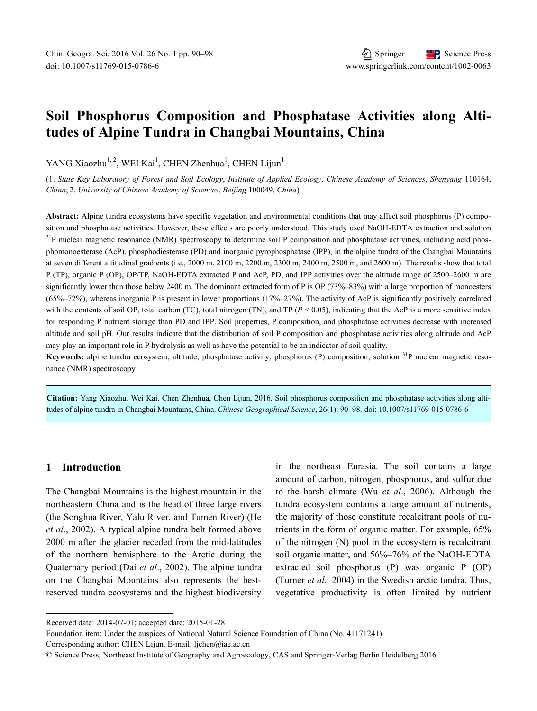# **Soil Phosphorus Composition and Phosphatase Activities along Altitudes of Alpine Tundra in Changbai Mountains, China**

YANG Xiaozhu<sup>1, 2</sup>, WEI Kai<sup>1</sup>, CHEN Zhenhua<sup>1</sup>, CHEN Lijun<sup>1</sup>

(1. *State Key Laboratory of Forest and Soil Ecology*, *Institute of Applied Ecology*, *Chinese Academy of Sciences*, *Shenyang* 110164, *China*; 2. *University of Chinese Academy of Sciences*, *Beijing* 100049, *China*)

**Abstract:** Alpine tundra ecosystems have specific vegetation and environmental conditions that may affect soil phosphorus (P) composition and phosphatase activities. However, these effects are poorly understood. This study used NaOH-EDTA extraction and solution <sup>31</sup>P nuclear magnetic resonance (NMR) spectroscopy to determine soil P composition and phosphatase activities, including acid phosphomonoesterase (AcP), phosphodiesterase (PD) and inorganic pyrophosphatase (IPP), in the alpine tundra of the Changbai Mountains at seven different altitudinal gradients (i.e., 2000 m, 2100 m, 2200 m, 2300 m, 2400 m, 2500 m, and 2600 m). The results show that total P (TP), organic P (OP), OP/TP, NaOH-EDTA extracted P and AcP, PD, and IPP activities over the altitude range of 2500–2600 m are significantly lower than those below 2400 m. The dominant extracted form of P is OP (73%–83%) with a large proportion of monoesters  $(65\% - 72\%)$ , whereas inorganic P is present in lower proportions  $(17\% - 27\%)$ . The activity of AcP is significantly positively correlated with the contents of soil OP, total carbon (TC), total nitrogen (TN), and TP ( $P < 0.05$ ), indicating that the AcP is a more sensitive index for responding P nutrient storage than PD and IPP. Soil properties, P composition, and phosphatase activities decrease with increased altitude and soil pH. Our results indicate that the distribution of soil P composition and phosphatase activities along altitude and AcP may play an important role in P hydrolysis as well as have the potential to be an indicator of soil quality.

Keywords: alpine tundra ecosystem; altitude; phosphatase activity; phosphorus (P) composition; solution <sup>31</sup>P nuclear magnetic resonance (NMR) spectroscopy

**Citation:** Yang Xiaozhu, Wei Kai, Chen Zhenhua, Chen Lijun, 2016. Soil phosphorus composition and phosphatase activities along altitudes of alpine tundra in Changbai Mountains, China. *Chinese Geographical Science*, 26(1): 90–98. doi: 10.1007/s11769-015-0786-6

# **1 Introduction**

l

The Changbai Mountains is the highest mountain in the northeastern China and is the head of three large rivers (the Songhua River, Yalu River, and Tumen River) (He *et al*., 2002). A typical alpine tundra belt formed above 2000 m after the glacier receded from the mid-latitudes of the northern hemisphere to the Arctic during the Quaternary period (Dai *et al*., 2002). The alpine tundra on the Changbai Mountains also represents the bestreserved tundra ecosystems and the highest biodiversity in the northeast Eurasia. The soil contains a large amount of carbon, nitrogen, phosphorus, and sulfur due to the harsh climate (Wu *et al*., 2006). Although the tundra ecosystem contains a large amount of nutrients, the majority of those constitute recalcitrant pools of nutrients in the form of organic matter. For example, 65% of the nitrogen (N) pool in the ecosystem is recalcitrant soil organic matter, and 56%–76% of the NaOH-EDTA extracted soil phosphorus (P) was organic P (OP) (Turner *et al*., 2004) in the Swedish arctic tundra. Thus, vegetative productivity is often limited by nutrient

Received date: 2014-07-01; accepted date: 2015-01-28

Foundation item: Under the auspices of National Natural Science Foundation of China (No. 41171241)

Corresponding author: CHEN Lijun. E-mail: ljchen@iae.ac.cn

<sup>©</sup> Science Press, Northeast Institute of Geography and Agroecology, CAS and Springer-Verlag Berlin Heidelberg 2016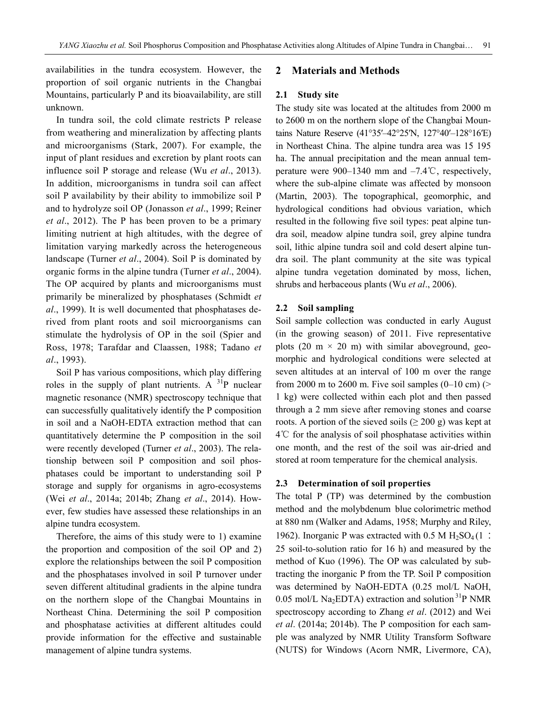availabilities in the tundra ecosystem. However, the proportion of soil organic nutrients in the Changbai Mountains, particularly P and its bioavailability, are still unknown.

In tundra soil, the cold climate restricts P release from weathering and mineralization by affecting plants and microorganisms (Stark, 2007). For example, the input of plant residues and excretion by plant roots can influence soil P storage and release (Wu *et al*., 2013). In addition, microorganisms in tundra soil can affect soil P availability by their ability to immobilize soil P and to hydrolyze soil OP (Jonasson *et al*., 1999; Reiner *et al*., 2012). The P has been proven to be a primary limiting nutrient at high altitudes, with the degree of limitation varying markedly across the heterogeneous landscape (Turner *et al*., 2004). Soil P is dominated by organic forms in the alpine tundra (Turner *et al*., 2004). The OP acquired by plants and microorganisms must primarily be mineralized by phosphatases (Schmidt *et al*., 1999). It is well documented that phosphatases derived from plant roots and soil microorganisms can stimulate the hydrolysis of OP in the soil (Spier and Ross, 1978; Tarafdar and Claassen, 1988; Tadano *et al*., 1993).

Soil P has various compositions, which play differing roles in the supply of plant nutrients. A  $^{31}P$  nuclear magnetic resonance (NMR) spectroscopy technique that can successfully qualitatively identify the P composition in soil and a NaOH-EDTA extraction method that can quantitatively determine the P composition in the soil were recently developed (Turner *et al*., 2003). The relationship between soil P composition and soil phosphatases could be important to understanding soil P storage and supply for organisms in agro-ecosystems (Wei *et al*., 2014a; 2014b; Zhang *et al*., 2014). However, few studies have assessed these relationships in an alpine tundra ecosystem.

Therefore, the aims of this study were to 1) examine the proportion and composition of the soil OP and 2) explore the relationships between the soil P composition and the phosphatases involved in soil P turnover under seven different altitudinal gradients in the alpine tundra on the northern slope of the Changbai Mountains in Northeast China. Determining the soil P composition and phosphatase activities at different altitudes could provide information for the effective and sustainable management of alpine tundra systems.

### **2 Materials and Methods**

### **2.1 Study site**

The study site was located at the altitudes from 2000 m to 2600 m on the northern slope of the Changbai Mountains Nature Reserve (41°35′–42°25′N, 127°40′–128°16′E) in Northeast China. The alpine tundra area was 15 195 ha. The annual precipitation and the mean annual temperature were 900–1340 mm and –7.4℃, respectively, where the sub-alpine climate was affected by monsoon (Martin, 2003). The topographical, geomorphic, and hydrological conditions had obvious variation, which resulted in the following five soil types: peat alpine tundra soil, meadow alpine tundra soil, grey alpine tundra soil, lithic alpine tundra soil and cold desert alpine tundra soil. The plant community at the site was typical alpine tundra vegetation dominated by moss, lichen, shrubs and herbaceous plants (Wu *et al*., 2006).

#### **2.2 Soil sampling**

Soil sample collection was conducted in early August (in the growing season) of 2011. Five representative plots (20 m  $\times$  20 m) with similar aboveground, geomorphic and hydrological conditions were selected at seven altitudes at an interval of 100 m over the range from 2000 m to 2600 m. Five soil samples  $(0-10 \text{ cm})$  (> 1 kg) were collected within each plot and then passed through a 2 mm sieve after removing stones and coarse roots. A portion of the sieved soils ( $\geq 200$  g) was kept at 4℃ for the analysis of soil phosphatase activities within one month, and the rest of the soil was air-dried and stored at room temperature for the chemical analysis.

#### **2.3 Determination of soil properties**

The total P (TP) was determined by the combustion method and the molybdenum blue colorimetric method at 880 nm (Walker and Adams, 1958; Murphy and Riley, 1962). Inorganic P was extracted with  $0.5$  M  $H_2SO_4(1)$ : 25 soil-to-solution ratio for 16 h) and measured by the method of Kuo (1996). The OP was calculated by subtracting the inorganic P from the TP. Soil P composition was determined by NaOH-EDTA (0.25 mol/L NaOH, 0.05 mol/L Na<sub>2</sub>EDTA) extraction and solution  $3^{1}P$  NMR spectroscopy according to Zhang *et al*. (2012) and Wei *et al*. (2014a; 2014b). The P composition for each sample was analyzed by NMR Utility Transform Software (NUTS) for Windows (Acorn NMR, Livermore, CA),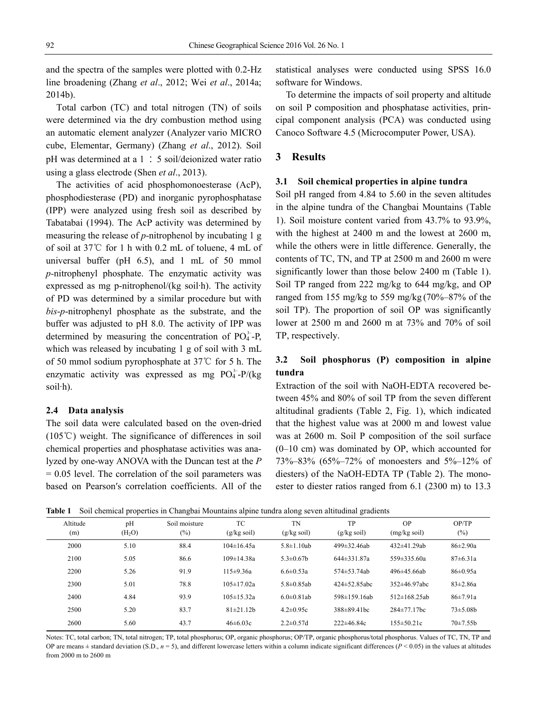and the spectra of the samples were plotted with 0.2-Hz line broadening (Zhang *et al*., 2012; Wei *et al*., 2014a; 2014b).

Total carbon (TC) and total nitrogen (TN) of soils were determined via the dry combustion method using an automatic element analyzer (Analyzer vario MICRO cube, Elementar, Germany) (Zhang *et al*., 2012). Soil pH was determined at a 1 ׃ 5 soil/deionized water ratio using a glass electrode (Shen *et al*., 2013).

The activities of acid phosphomonoesterase (AcP), phosphodiesterase (PD) and inorganic pyrophosphatase (IPP) were analyzed using fresh soil as described by Tabatabai (1994). The AcP activity was determined by measuring the release of *p*-nitrophenol by incubating 1 g of soil at 37℃ for 1 h with 0.2 mL of toluene, 4 mL of universal buffer (pH 6.5), and 1 mL of 50 mmol *p-*nitrophenyl phosphate. The enzymatic activity was expressed as mg p-nitrophenol/(kg soil·h). The activity of PD was determined by a similar procedure but with *bis*-*p*-nitrophenyl phosphate as the substrate, and the buffer was adjusted to pH 8.0. The activity of IPP was determined by measuring the concentration of  $PO_4^{3-}P$ , which was released by incubating 1 g of soil with 3 mL of 50 mmol sodium pyrophosphate at 37℃ for 5 h. The enzymatic activity was expressed as mg  $PO_4^{3-}P/(kg)$ soil·h).

### **2.4 Data analysis**

The soil data were calculated based on the oven-dried (105℃) weight. The significance of differences in soil chemical properties and phosphatase activities was analyzed by one-way ANOVA with the Duncan test at the *P*   $= 0.05$  level. The correlation of the soil parameters was based on Pearson′s correlation coefficients. All of the statistical analyses were conducted using SPSS 16.0 software for Windows.

To determine the impacts of soil property and altitude on soil P composition and phosphatase activities, principal component analysis (PCA) was conducted using Canoco Software 4.5 (Microcomputer Power, USA).

### **3 Results**

#### **3.1 Soil chemical properties in alpine tundra**

Soil pH ranged from 4.84 to 5.60 in the seven altitudes in the alpine tundra of the Changbai Mountains (Table 1). Soil moisture content varied from 43.7% to 93.9%, with the highest at 2400 m and the lowest at 2600 m, while the others were in little difference. Generally, the contents of TC, TN, and TP at 2500 m and 2600 m were significantly lower than those below 2400 m (Table 1). Soil TP ranged from 222 mg/kg to 644 mg/kg, and OP ranged from 155 mg/kg to 559 mg/kg (70%–87% of the soil TP). The proportion of soil OP was significantly lower at 2500 m and 2600 m at 73% and 70% of soil TP, respectively.

# **3.2 Soil phosphorus (P) composition in alpine tundra**

Extraction of the soil with NaOH-EDTA recovered between 45% and 80% of soil TP from the seven different altitudinal gradients (Table 2, Fig. 1), which indicated that the highest value was at 2000 m and lowest value was at 2600 m. Soil P composition of the soil surface (0–10 cm) was dominated by OP, which accounted for 73%–83% (65%–72% of monoesters and 5%–12% of diesters) of the NaOH-EDTA TP (Table 2). The monoester to diester ratios ranged from 6.1 (2300 m) to 13.3

**Table 1** Soil chemical properties in Changbai Mountains alpine tundra along seven altitudinal gradients

| Altitude<br>(m) | pH<br>(H <sub>2</sub> O) | Soil moisture<br>$(\%)$ | TC<br>$(g/kg \text{ soil})$ | TN<br>$(g/kg \text{ soil})$ | TP<br>$(g/kg \text{ soil})$ | OP<br>$(mg/kg\,$ soil) | OP/TP<br>$(\%)$ |
|-----------------|--------------------------|-------------------------|-----------------------------|-----------------------------|-----------------------------|------------------------|-----------------|
| 2000            | 5.10                     | 88.4                    | $104\pm 16.45a$             | $5.8 \pm 1.10$ ab           | $499\pm32.46ab$             | $432\pm41.29ab$        | $86\pm2.90a$    |
| 2100            | 5.05                     | 86.6                    | $109 \pm 14.38a$            | $5.3 \pm 0.67$ h            | $644\pm331.87a$             | $559\pm335.60a$        | $87\pm 6.31a$   |
| 2200            | 5.26                     | 91.9                    | 115±9.36a                   | $6.6 \pm 0.53a$             | $574 \pm 53.74$ ab          | $496\pm45.66ab$        | 86±0.95a        |
| 2300            | 5.01                     | 78.8                    | $105 \pm 17.02a$            | $5.8 \pm 0.85$ ab           | $424 \pm 52.85$ abc         | $352\pm46.97$ abc      | $83 \pm 2.86a$  |
| 2400            | 4.84                     | 93.9                    | $105 \pm 15.32a$            | $6.0 \pm 0.81$ ab           | 598±159.16ab                | $512\pm168.25ab$       | 86±7.91a        |
| 2500            | 5.20                     | 83.7                    | $81\pm21.12h$               | $4.2 \pm 0.95c$             | $388\pm89.41$ hc            | $284\pm77.17$ hc       | $73\pm5.08h$    |
| 2600            | 5.60                     | 43.7                    | $46\pm6.03c$                | $2.2 \pm 0.57$ d            | $222\pm 46.84c$             | $155 \pm 50.21c$       | $70+7.55h$      |

Notes: TC, total carbon; TN, total nitrogen; TP, total phosphorus; OP, organic phosphorus; OP/TP, organic phosphorus/total phosphorus. Values of TC, TN, TP and OP are means  $\pm$  standard deviation (S.D.,  $n = 5$ ), and different lowercase letters within a column indicate significant differences ( $P < 0.05$ ) in the values at altitudes from 2000 m to 2600 m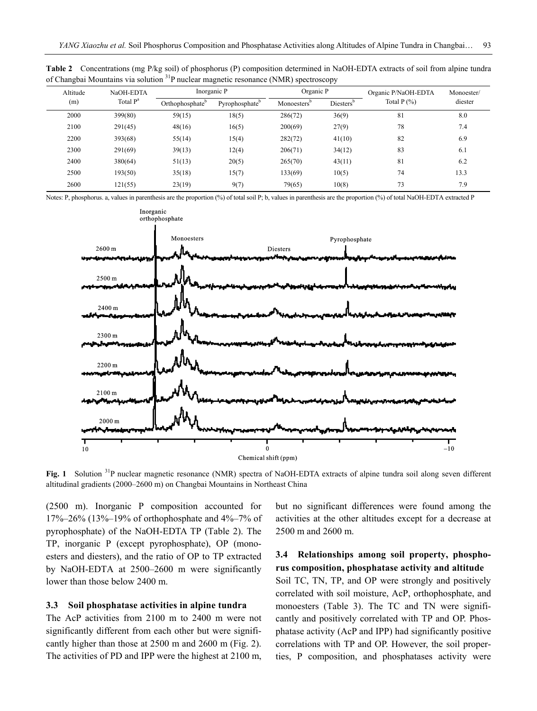|     | Altitude | NaOH-EDTA            |                             | Inorganic P                | Organic P               |                       | Organic P/NaOH-EDTA | Monoester/<br>diester |  |
|-----|----------|----------------------|-----------------------------|----------------------------|-------------------------|-----------------------|---------------------|-----------------------|--|
| (m) |          | Total P <sup>a</sup> | Orthophosphate <sup>o</sup> | Pyrophosphate <sup>b</sup> | Monoesters <sup>o</sup> | Diesters <sup>b</sup> | Total $P(\% )$      |                       |  |
|     | 2000     | 399(80)              | 59(15)                      | 18(5)                      | 286(72)                 | 36(9)                 | 81                  | 8.0                   |  |
|     | 2100     | 291(45)              | 48(16)                      | 16(5)                      | 200(69)                 | 27(9)                 | 78                  | 7.4                   |  |
|     | 2200     | 393(68)              | 55(14)                      | 15(4)                      | 282(72)                 | 41(10)                | 82                  | 6.9                   |  |
|     | 2300     | 291(69)              | 39(13)                      | 12(4)                      | 206(71)                 | 34(12)                | 83                  | 6.1                   |  |
|     | 2400     | 380(64)              | 51(13)                      | 20(5)                      | 265(70)                 | 43(11)                | 81                  | 6.2                   |  |
|     | 2500     | 193(50)              | 35(18)                      | 15(7)                      | 133(69)                 | 10(5)                 | 74                  | 13.3                  |  |
|     | 2600     | 121(55)              | 23(19)                      | 9(7)                       | 79(65)                  | 10(8)                 | 73                  | 7.9                   |  |
|     |          |                      |                             |                            |                         |                       |                     |                       |  |

**Table 2** Concentrations (mg P/kg soil) of phosphorus (P) composition determined in NaOH-EDTA extracts of soil from alpine tundra of Changbai Mountains via solution 31P nuclear magnetic resonance (NMR) spectroscopy

Notes: P, phosphorus. a, values in parenthesis are the proportion (%) of total soil P; b, values in parenthesis are the proportion (%) of total NaOH-EDTA extracted P



Fig. 1 Solution <sup>31</sup>P nuclear magnetic resonance (NMR) spectra of NaOH-EDTA extracts of alpine tundra soil along seven different altitudinal gradients (2000–2600 m) on Changbai Mountains in Northeast China

(2500 m). Inorganic P composition accounted for 17%–26% (13%–19% of orthophosphate and 4%–7% of pyrophosphate) of the NaOH-EDTA TP (Table 2). The TP, inorganic P (except pyrophosphate), OP (monoesters and diesters), and the ratio of OP to TP extracted by NaOH-EDTA at 2500–2600 m were significantly lower than those below 2400 m.

# **3.3 Soil phosphatase activities in alpine tundra**

The AcP activities from 2100 m to 2400 m were not significantly different from each other but were significantly higher than those at 2500 m and 2600 m (Fig. 2). The activities of PD and IPP were the highest at 2100 m, but no significant differences were found among the activities at the other altitudes except for a decrease at 2500 m and 2600 m.

# **3.4 Relationships among soil property, phosphorus composition, phosphatase activity and altitude**

Soil TC, TN, TP, and OP were strongly and positively correlated with soil moisture, AcP, orthophosphate, and monoesters (Table 3). The TC and TN were significantly and positively correlated with TP and OP. Phosphatase activity (AcP and IPP) had significantly positive correlations with TP and OP. However, the soil properties, P composition, and phosphatases activity were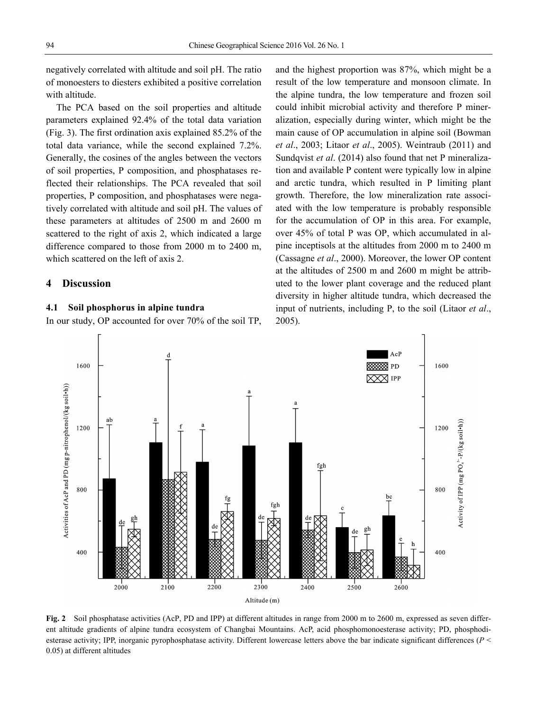negatively correlated with altitude and soil pH. The ratio of monoesters to diesters exhibited a positive correlation with altitude.

The PCA based on the soil properties and altitude parameters explained 92.4% of the total data variation (Fig. 3). The first ordination axis explained 85.2% of the total data variance, while the second explained 7.2%. Generally, the cosines of the angles between the vectors of soil properties, P composition, and phosphatases reflected their relationships. The PCA revealed that soil properties, P composition, and phosphatases were negatively correlated with altitude and soil pH. The values of these parameters at altitudes of 2500 m and 2600 m scattered to the right of axis 2, which indicated a large difference compared to those from 2000 m to 2400 m, which scattered on the left of axis 2.

# **4 Discussion**

#### **4.1 Soil phosphorus in alpine tundra**

In our study, OP accounted for over 70% of the soil TP,

and the highest proportion was 87%, which might be a result of the low temperature and monsoon climate. In the alpine tundra, the low temperature and frozen soil could inhibit microbial activity and therefore P mineralization, especially during winter, which might be the main cause of OP accumulation in alpine soil (Bowman *et al*., 2003; Litaor *et al*., 2005). Weintraub (2011) and Sundqvist *et al*. (2014) also found that net P mineralization and available P content were typically low in alpine and arctic tundra, which resulted in P limiting plant growth. Therefore, the low mineralization rate associated with the low temperature is probably responsible for the accumulation of OP in this area. For example, over 45% of total P was OP, which accumulated in alpine inceptisols at the altitudes from 2000 m to 2400 m (Cassagne *et al*., 2000). Moreover, the lower OP content at the altitudes of 2500 m and 2600 m might be attributed to the lower plant coverage and the reduced plant diversity in higher altitude tundra, which decreased the input of nutrients, including P, to the soil (Litaor *et al*., 2005).



**Fig. 2** Soil phosphatase activities (AcP, PD and IPP) at different altitudes in range from 2000 m to 2600 m, expressed as seven different altitude gradients of alpine tundra ecosystem of Changbai Mountains. AcP, acid phosphomonoesterase activity; PD, phosphodiesterase activity; IPP, inorganic pyrophosphatase activity. Different lowercase letters above the bar indicate significant differences (*P* < 0.05) at different altitudes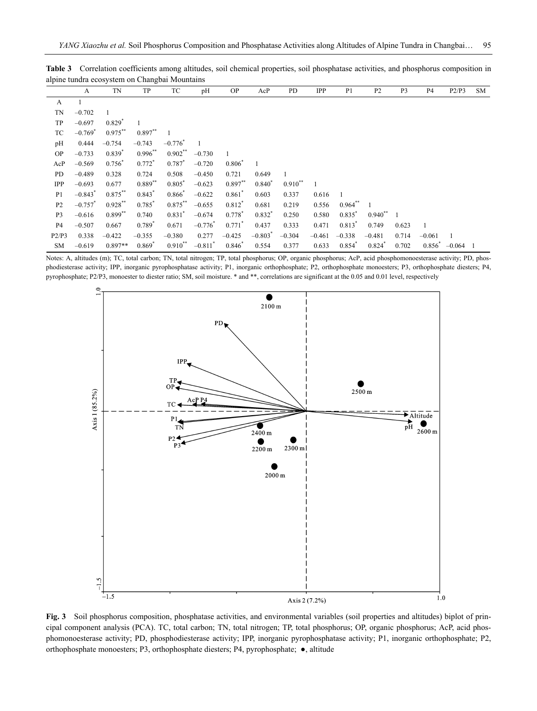|                | A                     | TN          | TP                   | TC                    | pH                    | <b>OP</b>            | AcP                   | PD        | IPP      | P <sub>1</sub> | P <sub>2</sub> | P <sub>3</sub> | P4          | P2/P3    | <b>SM</b> |
|----------------|-----------------------|-------------|----------------------|-----------------------|-----------------------|----------------------|-----------------------|-----------|----------|----------------|----------------|----------------|-------------|----------|-----------|
| A              |                       |             |                      |                       |                       |                      |                       |           |          |                |                |                |             |          |           |
| TN             | $-0.702$              |             |                      |                       |                       |                      |                       |           |          |                |                |                |             |          |           |
| TP             | $-0.697$              | $0.829^{*}$ |                      |                       |                       |                      |                       |           |          |                |                |                |             |          |           |
| TC             | $-0.769$ <sup>*</sup> | $0.975***$  | $0.897**$            |                       |                       |                      |                       |           |          |                |                |                |             |          |           |
| pH             | 0.444                 | $-0.754$    | $-0.743$             | $-0.776$ <sup>*</sup> |                       |                      |                       |           |          |                |                |                |             |          |           |
| <b>OP</b>      | $-0.733$              | $0.839^{*}$ | $0.996$ **           | $0.902**$             | $-0.730$              | $\mathbf{1}$         |                       |           |          |                |                |                |             |          |           |
| AcP            | $-0.569$              | $0.756^{*}$ | $0.772$ <sup>*</sup> | 0.787                 | $-0.720$              | 0.806                |                       |           |          |                |                |                |             |          |           |
| PD             | $-0.489$              | 0.328       | 0.724                | 0.508                 | $-0.450$              | 0.721                | 0.649                 | 1         |          |                |                |                |             |          |           |
| IPP            | $-0.693$              | 0.677       | $0.889**$            | $0.805*$              | $-0.623$              | $0.897**$            | $0.840*$              | $0.910**$ |          |                |                |                |             |          |           |
| P <sub>1</sub> | $-0.843$ <sup>*</sup> | $0.875***$  | $0.843$ <sup>*</sup> | $0.866*$              | $-0.622$              | $0.861*$             | 0.603                 | 0.337     | 0.616    | $\overline{1}$ |                |                |             |          |           |
| P <sub>2</sub> | $-0.757$ <sup>*</sup> | $0.928$ **  | 0.785                | $0.875***$            | $-0.655$              | $0.812$ <sup>*</sup> | 0.681                 | 0.219     | 0.556    | $0.964$ **     |                |                |             |          |           |
| P <sub>3</sub> | $-0.616$              | $0.899**$   | 0.740                | $0.831*$              | $-0.674$              | $0.778*$             | $0.832*$              | 0.250     | 0.580    | $0.835*$       | $0.940**$      |                |             |          |           |
| P <sub>4</sub> | $-0.507$              | 0.667       | $0.789*$             | 0.671                 | $-0.776$ <sup>*</sup> | $0.771$ <sup>*</sup> | 0.437                 | 0.333     | 0.471    | $0.813^*$      | 0.749          | 0.623          |             |          |           |
| P2/P3          | 0.338                 | $-0.422$    | $-0.355$             | $-0.380$              | 0.277                 | $-0.425$             | $-0.803$ <sup>*</sup> | $-0.304$  | $-0.461$ | $-0.338$       | $-0.481$       | 0.714          | $-0.061$    | -1       |           |
| SM             | $-0.619$              | $0.897**$   | $0.869*$             | $0.910**$             | $-0.811$ <sup>*</sup> | $0.846*$             | 0.554                 | 0.377     | 0.633    | 0.854          | 0.824          | 0.702          | $0.856^{*}$ | $-0.064$ |           |

**Table 3** Correlation coefficients among altitudes, soil chemical properties, soil phosphatase activities, and phosphorus composition in alpine tundra ecosystem on Changbai Mountains

Notes: A, altitudes (m); TC, total carbon; TN, total nitrogen; TP, total phosphorus; OP, organic phosphorus; AcP, acid phosphomonoesterase activity; PD, phosphodiesterase activity; IPP, inorganic pyrophosphatase activity; P1, inorganic orthophosphate; P2, orthophosphate monoesters; P3, orthophosphate diesters; P4, pyrophosphate; P2/P3, monoester to diester ratio; SM, soil moisture. \* and \*\*, correlations are significant at the 0.05 and 0.01 level, respectively



**Fig. 3** Soil phosphorus composition, phosphatase activities, and environmental variables (soil properties and altitudes) biplot of principal component analysis (PCA). TC, total carbon; TN, total nitrogen; TP, total phosphorus; OP, organic phosphorus; AcP, acid phosphomonoesterase activity; PD, phosphodiesterase activity; IPP, inorganic pyrophosphatase activity; P1, inorganic orthophosphate; P2, orthophosphate monoesters; P3, orthophosphate diesters; P4, pyrophosphate; ●, altitude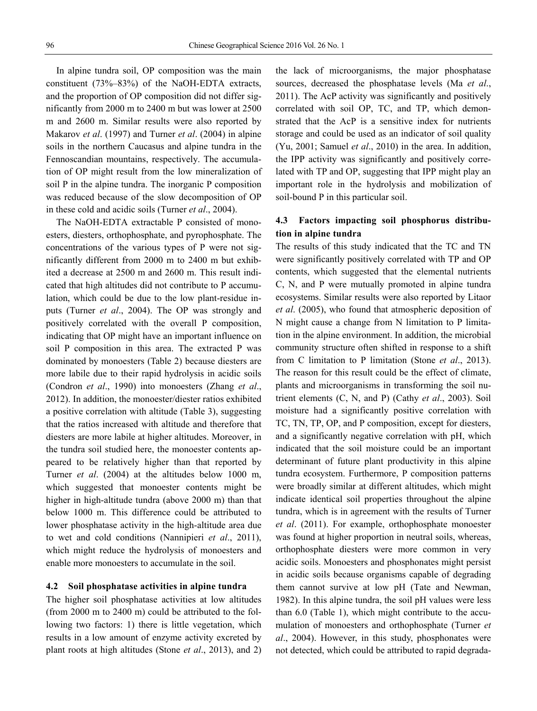In alpine tundra soil, OP composition was the main constituent (73%–83%) of the NaOH-EDTA extracts, and the proportion of OP composition did not differ significantly from 2000 m to 2400 m but was lower at 2500 m and 2600 m. Similar results were also reported by Makarov *et al*. (1997) and Turner *et al*. (2004) in alpine soils in the northern Caucasus and alpine tundra in the Fennoscandian mountains, respectively. The accumulation of OP might result from the low mineralization of soil P in the alpine tundra. The inorganic P composition was reduced because of the slow decomposition of OP in these cold and acidic soils (Turner *et al*., 2004).

The NaOH-EDTA extractable P consisted of monoesters, diesters, orthophosphate, and pyrophosphate. The concentrations of the various types of P were not significantly different from 2000 m to 2400 m but exhibited a decrease at 2500 m and 2600 m. This result indicated that high altitudes did not contribute to P accumulation, which could be due to the low plant-residue inputs (Turner *et al*., 2004). The OP was strongly and positively correlated with the overall P composition, indicating that OP might have an important influence on soil P composition in this area. The extracted P was dominated by monoesters (Table 2) because diesters are more labile due to their rapid hydrolysis in acidic soils (Condron *et al*., 1990) into monoesters (Zhang *et al*., 2012). In addition, the monoester/diester ratios exhibited a positive correlation with altitude (Table 3), suggesting that the ratios increased with altitude and therefore that diesters are more labile at higher altitudes. Moreover, in the tundra soil studied here, the monoester contents appeared to be relatively higher than that reported by Turner *et al*. (2004) at the altitudes below 1000 m, which suggested that monoester contents might be higher in high-altitude tundra (above 2000 m) than that below 1000 m. This difference could be attributed to lower phosphatase activity in the high-altitude area due to wet and cold conditions (Nannipieri *et al*., 2011), which might reduce the hydrolysis of monoesters and enable more monoesters to accumulate in the soil.

### **4.2 Soil phosphatase activities in alpine tundra**

The higher soil phosphatase activities at low altitudes (from 2000 m to 2400 m) could be attributed to the following two factors: 1) there is little vegetation, which results in a low amount of enzyme activity excreted by plant roots at high altitudes (Stone *et al*., 2013), and 2)

the lack of microorganisms, the major phosphatase sources, decreased the phosphatase levels (Ma *et al*., 2011). The AcP activity was significantly and positively correlated with soil OP, TC, and TP, which demonstrated that the AcP is a sensitive index for nutrients storage and could be used as an indicator of soil quality (Yu, 2001; Samuel *et al*., 2010) in the area. In addition, the IPP activity was significantly and positively correlated with TP and OP, suggesting that IPP might play an important role in the hydrolysis and mobilization of soil-bound P in this particular soil.

# **4.3 Factors impacting soil phosphorus distribution in alpine tundra**

The results of this study indicated that the TC and TN were significantly positively correlated with TP and OP contents, which suggested that the elemental nutrients C, N, and P were mutually promoted in alpine tundra ecosystems. Similar results were also reported by Litaor *et al*. (2005), who found that atmospheric deposition of N might cause a change from N limitation to P limitation in the alpine environment. In addition, the microbial community structure often shifted in response to a shift from C limitation to P limitation (Stone *et al*., 2013). The reason for this result could be the effect of climate, plants and microorganisms in transforming the soil nutrient elements (C, N, and P) (Cathy *et al*., 2003). Soil moisture had a significantly positive correlation with TC, TN, TP, OP, and P composition, except for diesters, and a significantly negative correlation with pH, which indicated that the soil moisture could be an important determinant of future plant productivity in this alpine tundra ecosystem. Furthermore, P composition patterns were broadly similar at different altitudes, which might indicate identical soil properties throughout the alpine tundra, which is in agreement with the results of Turner *et al*. (2011). For example, orthophosphate monoester was found at higher proportion in neutral soils, whereas, orthophosphate diesters were more common in very acidic soils. Monoesters and phosphonates might persist in acidic soils because organisms capable of degrading them cannot survive at low pH (Tate and Newman, 1982). In this alpine tundra, the soil pH values were less than 6.0 (Table 1), which might contribute to the accumulation of monoesters and orthophosphate (Turner *et al*., 2004). However, in this study, phosphonates were not detected, which could be attributed to rapid degrada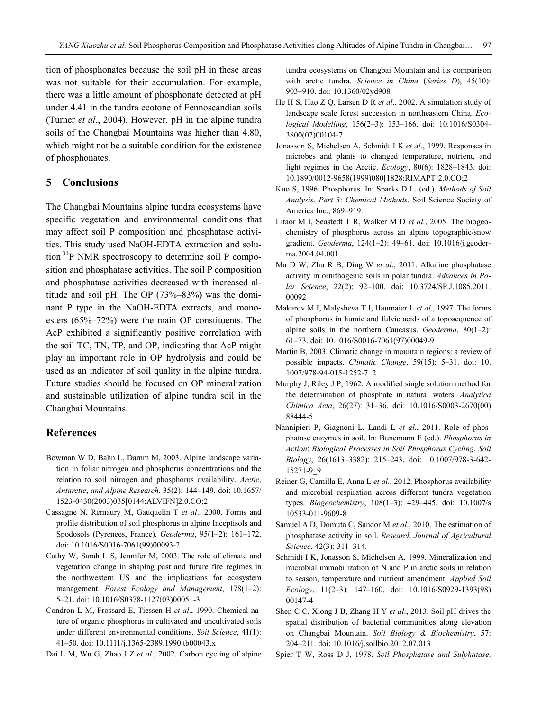tion of phosphonates because the soil pH in these areas was not suitable for their accumulation. For example, there was a little amount of phosphonate detected at pH under 4.41 in the tundra ecotone of Fennoscandian soils (Turner *et al*., 2004). However, pH in the alpine tundra soils of the Changbai Mountains was higher than 4.80, which might not be a suitable condition for the existence of phosphonates.

# **5 Conclusions**

The Changbai Mountains alpine tundra ecosystems have specific vegetation and environmental conditions that may affect soil P composition and phosphatase activities. This study used NaOH-EDTA extraction and solution 31P NMR spectroscopy to determine soil P composition and phosphatase activities. The soil P composition and phosphatase activities decreased with increased altitude and soil pH. The OP (73%–83%) was the dominant P type in the NaOH-EDTA extracts, and monoesters (65%–72%) were the main OP constituents. The AcP exhibited a significantly positive correlation with the soil TC, TN, TP, and OP, indicating that AcP might play an important role in OP hydrolysis and could be used as an indicator of soil quality in the alpine tundra. Future studies should be focused on OP mineralization and sustainable utilization of alpine tundra soil in the Changbai Mountains.

### **References**

- Bowman W D, Bahn L, Damm M, 2003. Alpine landscape variation in foliar nitrogen and phosphorus concentrations and the relation to soil nitrogen and phosphorus availability. *Arctic*, *Antarctic*, *and Alpine Research*, 35(2): 144–149. doi: 10.1657/ 1523-0430(2003)035[0144:ALVIFN]2.0.CO;2
- Cassagne N, Remaury M, Gauquelin T *et al*., 2000. Forms and profile distribution of soil phosphorus in alpine Inceptisols and Spodosols (Pyrenees, France). *Geoderma*, 95(1–2): 161–172. doi: 10.1016/S0016-7061(99)00093-2
- Cathy W, Sarah L S, Jennifer M, 2003. The role of climate and vegetation change in shaping past and future fire regimes in the northwestern US and the implications for ecosystem management. *Forest Ecology and Management*, 178(1–2): 5–21. doi: 10.1016/S0378-1127(03)00051-3
- Condron L M, Frossard E, Tiessen H *et al*., 1990. Chemical nature of organic phosphorus in cultivated and uncultivated soils under different environmental conditions. *Soil Science*, 41(1): 41–50. doi: 10.1111/j.1365-2389.1990.tb00043.x
- Dai L M, Wu G, Zhao J Z *et al*., 2002. Carbon cycling of alpine

tundra ecosystems on Changbai Mountain and its comparison with arctic tundra. *Science in China* (*Series D*), 45(10): 903–910. doi: 10.1360/02yd908

- He H S, Hao Z Q, Larsen D R *et al*., 2002. A simulation study of landscape scale forest succession in northeastern China. *Ecological Modelling*, 156(2–3): 153–166. doi: 10.1016/S0304- 3800(02)00104-7
- Jonasson S, Michelsen A, Schmidt I K *et al*., 1999. Responses in microbes and plants to changed temperature, nutrient, and light regimes in the Arctic. *Ecology*, 80(6): 1828–1843. doi: 10.1890/0012-9658(1999)080[1828:RIMAPT]2.0.CO;2
- Kuo S, 1996. Phosphorus. In: Sparks D L. (ed.). *Methods of Soil Analysis*. *Part 3*: *Chemical Methods*. Soil Science Society of America Inc., 869–919.
- Litaor M I, Seastedt T R, Walker M D *et al.*, 2005. The biogeochemistry of phosphorus across an alpine topographic/snow gradient. *Geoderma*, 124(1–2): 49–61. doi: 10.1016/j.geoderma.2004.04.001
- Ma D W, Zhu R B, Ding W *et al*., 2011. Alkaline phosphatase activity in ornithogenic soils in polar tundra. *Advances in Polar Science*, 22(2): 92–100. doi: 10.3724/SP.J.1085.2011. 00092
- Makarov M I, Malysheva T I, Haumaier L *et al*., 1997. The forms of phosphorus in humic and fulvic acids of a toposequence of alpine soils in the northern Caucasus. *Geoderma*, 80(1–2): 61–73. doi: 10.1016/S0016-7061(97)00049-9
- Martin B, 2003. Climatic change in mountain regions: a review of possible impacts. *Climatic Change*, 59(15): 5–31. doi: 10. 1007/978-94-015-1252-7\_2
- Murphy J, Riley J P, 1962. A modified single solution method for the determination of phosphate in natural waters. *Analytica Chimica Acta*, 26(27): 31–36. doi: 10.1016/S0003-2670(00) 88444-5
- Nannipieri P, Giagnoni L, Landi L *et al*., 2011. Role of phosphatase enzymes in soil. In: Bunemann E (ed.). *Phosphorus in Action*: *Biological Processes in Soil Phosphorus Cycling*. *Soil Biology*, 26(1613–3382): 215–243. doi: 10.1007/978-3-642- 15271-9\_9
- Reiner G, Camilla E, Anna L *et al*., 2012. Phosphorus availability and microbial respiration across different tundra vegetation types. *Biogeochemistry*, 108(1–3): 429–445. doi: 10.1007/s 10533-011-9609-8
- Samuel A D, Domuta C, Sandor M *et al*., 2010. The estimation of phosphatase activity in soil. *Research Journal of Agricultural Science*, 42(3): 311–314.
- Schmidt I K, Jonasson S, Michelsen A, 1999. Mineralization and microbial immobilization of N and P in arctic soils in relation to season, temperature and nutrient amendment. *Applied Soil Ecology*, 11(2–3): 147–160. doi: 10.1016/S0929-1393(98) 00147-4
- Shen C C, Xiong J B, Zhang H Y *et al*., 2013. Soil pH drives the spatial distribution of bacterial communities along elevation on Changbai Mountain. *Soil Biology & Biochemistry*, 57: 204–211. doi: 10.1016/j.soilbio.2012.07.013
- Spier T W, Ross D J, 1978. *Soil Phosphatase and Sulphatase*.